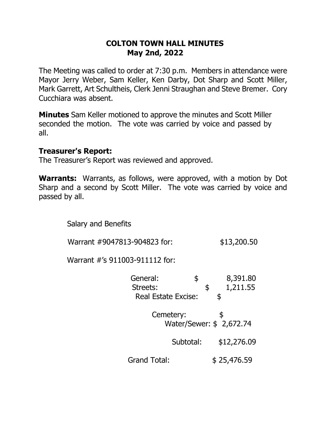#### **COLTON TOWN HALL MINUTES May 2nd, 2022**

The Meeting was called to order at 7:30 p.m. Members in attendance were Mayor Jerry Weber, Sam Keller, Ken Darby, Dot Sharp and Scott Miller, Mark Garrett, Art Schultheis, Clerk Jenni Straughan and Steve Bremer. Cory Cucchiara was absent.

**Minutes** Sam Keller motioned to approve the minutes and Scott Miller seconded the motion. The vote was carried by voice and passed by all.

#### **Treasurer's Report:**

The Treasurer's Report was reviewed and approved.

**Warrants:** Warrants, as follows, were approved, with a motion by Dot Sharp and a second by Scott Miller. The vote was carried by voice and passed by all.

Salary and Benefits

Warrant #9047813-904823 for: \$13,200.50

Warrant #'s 911003-911112 for:

| General:<br>Streets:<br><b>Real Estate Excise:</b> | \$                                    | \$<br>\$ | 8,391.80<br>1,211.55 |
|----------------------------------------------------|---------------------------------------|----------|----------------------|
|                                                    | Cemetery:<br>Water/Sewer: \$ 2,672.74 |          |                      |
|                                                    | Subtotal:                             |          | \$12,276.09          |
| <b>Grand Total:</b>                                |                                       |          | \$25,476.59          |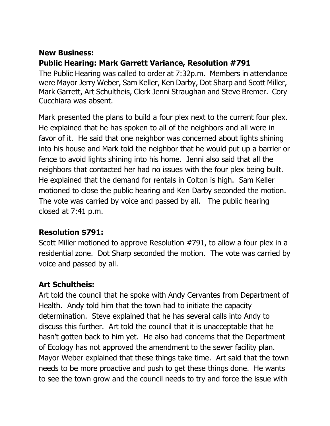# **New Business: Public Hearing: Mark Garrett Variance, Resolution #791**

The Public Hearing was called to order at 7:32p.m. Members in attendance were Mayor Jerry Weber, Sam Keller, Ken Darby, Dot Sharp and Scott Miller, Mark Garrett, Art Schultheis, Clerk Jenni Straughan and Steve Bremer. Cory Cucchiara was absent.

Mark presented the plans to build a four plex next to the current four plex. He explained that he has spoken to all of the neighbors and all were in favor of it. He said that one neighbor was concerned about lights shining into his house and Mark told the neighbor that he would put up a barrier or fence to avoid lights shining into his home. Jenni also said that all the neighbors that contacted her had no issues with the four plex being built. He explained that the demand for rentals in Colton is high. Sam Keller motioned to close the public hearing and Ken Darby seconded the motion. The vote was carried by voice and passed by all. The public hearing closed at 7:41 p.m.

## **Resolution \$791:**

Scott Miller motioned to approve Resolution #791, to allow a four plex in a residential zone. Dot Sharp seconded the motion. The vote was carried by voice and passed by all.

## **Art Schultheis:**

Art told the council that he spoke with Andy Cervantes from Department of Health. Andy told him that the town had to initiate the capacity determination. Steve explained that he has several calls into Andy to discuss this further. Art told the council that it is unacceptable that he hasn't gotten back to him yet. He also had concerns that the Department of Ecology has not approved the amendment to the sewer facility plan. Mayor Weber explained that these things take time. Art said that the town needs to be more proactive and push to get these things done. He wants to see the town grow and the council needs to try and force the issue with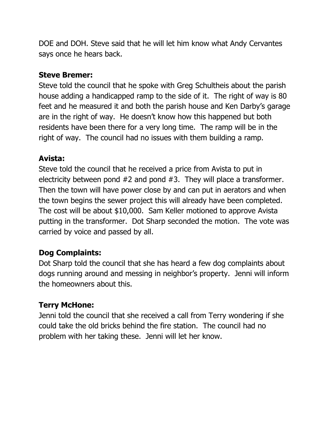DOE and DOH. Steve said that he will let him know what Andy Cervantes says once he hears back.

#### **Steve Bremer:**

Steve told the council that he spoke with Greg Schultheis about the parish house adding a handicapped ramp to the side of it. The right of way is 80 feet and he measured it and both the parish house and Ken Darby's garage are in the right of way. He doesn't know how this happened but both residents have been there for a very long time. The ramp will be in the right of way. The council had no issues with them building a ramp.

### **Avista:**

Steve told the council that he received a price from Avista to put in electricity between pond #2 and pond #3. They will place a transformer. Then the town will have power close by and can put in aerators and when the town begins the sewer project this will already have been completed. The cost will be about \$10,000. Sam Keller motioned to approve Avista putting in the transformer. Dot Sharp seconded the motion. The vote was carried by voice and passed by all.

## **Dog Complaints:**

Dot Sharp told the council that she has heard a few dog complaints about dogs running around and messing in neighbor's property. Jenni will inform the homeowners about this.

## **Terry McHone:**

Jenni told the council that she received a call from Terry wondering if she could take the old bricks behind the fire station. The council had no problem with her taking these. Jenni will let her know.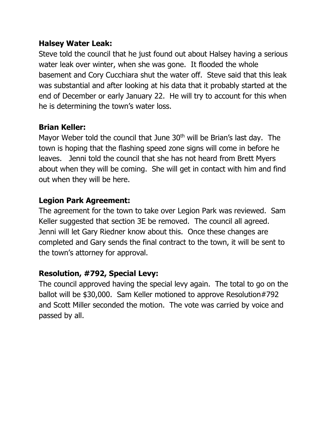### **Halsey Water Leak:**

Steve told the council that he just found out about Halsey having a serious water leak over winter, when she was gone. It flooded the whole basement and Cory Cucchiara shut the water off. Steve said that this leak was substantial and after looking at his data that it probably started at the end of December or early January 22. He will try to account for this when he is determining the town's water loss.

#### **Brian Keller:**

Mayor Weber told the council that June 30<sup>th</sup> will be Brian's last day. The town is hoping that the flashing speed zone signs will come in before he leaves. Jenni told the council that she has not heard from Brett Myers about when they will be coming. She will get in contact with him and find out when they will be here.

### **Legion Park Agreement:**

The agreement for the town to take over Legion Park was reviewed. Sam Keller suggested that section 3E be removed. The council all agreed. Jenni will let Gary Riedner know about this. Once these changes are completed and Gary sends the final contract to the town, it will be sent to the town's attorney for approval.

### **Resolution, #792, Special Levy:**

The council approved having the special levy again. The total to go on the ballot will be \$30,000. Sam Keller motioned to approve Resolution#792 and Scott Miller seconded the motion. The vote was carried by voice and passed by all.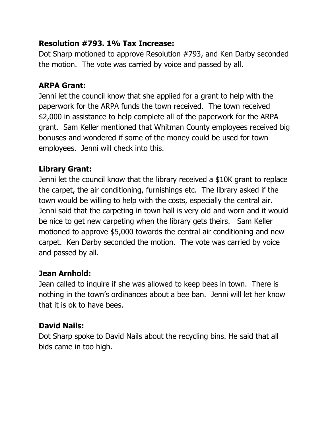### **Resolution #793. 1% Tax Increase:**

Dot Sharp motioned to approve Resolution #793, and Ken Darby seconded the motion. The vote was carried by voice and passed by all.

### **ARPA Grant:**

Jenni let the council know that she applied for a grant to help with the paperwork for the ARPA funds the town received. The town received \$2,000 in assistance to help complete all of the paperwork for the ARPA grant. Sam Keller mentioned that Whitman County employees received big bonuses and wondered if some of the money could be used for town employees. Jenni will check into this.

## **Library Grant:**

Jenni let the council know that the library received a \$10K grant to replace the carpet, the air conditioning, furnishings etc. The library asked if the town would be willing to help with the costs, especially the central air. Jenni said that the carpeting in town hall is very old and worn and it would be nice to get new carpeting when the library gets theirs. Sam Keller motioned to approve \$5,000 towards the central air conditioning and new carpet. Ken Darby seconded the motion. The vote was carried by voice and passed by all.

## **Jean Arnhold:**

Jean called to inquire if she was allowed to keep bees in town. There is nothing in the town's ordinances about a bee ban. Jenni will let her know that it is ok to have bees.

## **David Nails:**

Dot Sharp spoke to David Nails about the recycling bins. He said that all bids came in too high.